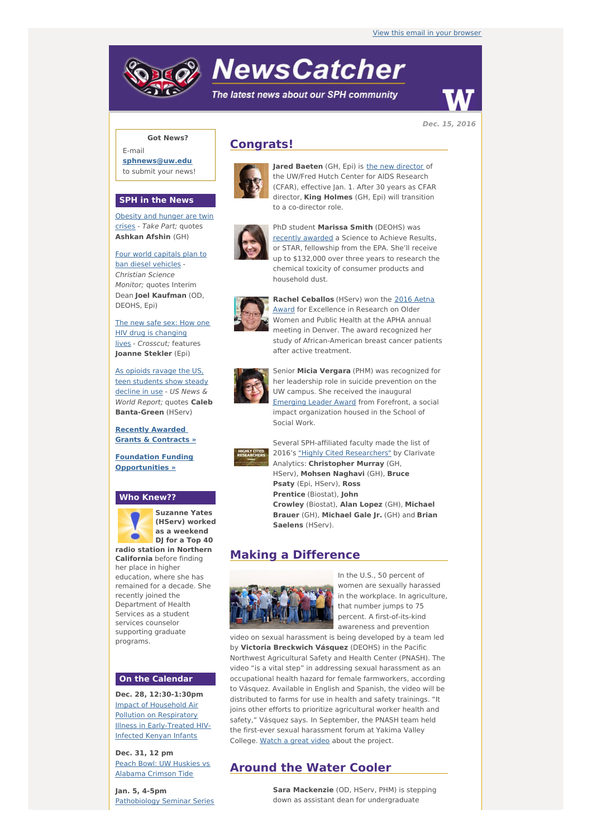# **NewsCatcher**

The latest news about our SPH community



**Dec. 15, 2016**

## **Got News?**

E-mail **[sphnews@uw.edu](mailto:sphnews@uw.edu)** to submit your news!

#### **SPH in the News**

[Obesity](http://engage.washington.edu/site/R?i=0O4enWY7xd2iXNgYVe8p9Q) and hunger are twin crises - Take Part; quotes **Ashkan Afshin** (GH)

Four world [capitals](http://engage.washington.edu/site/R?i=LB1tDOd4wVtnRy8cED9Sdg) plan to ban diesel vehicles - Christian Science Monitor; quotes Interim Dean **Joel Kaufman** (OD, DEOHS, Epi)

The new safe sex: How one HIV drug is changing lives - [Crosscut;](http://engage.washington.edu/site/R?i=gXSWuX-Y_3twvUPTLx4FCQ) features **Joanne Stekler** (Epi)

As opioids ravage the US, teen [students](http://engage.washington.edu/site/R?i=Lhrad1q4II-MYPKLKLJ_jw) show steady decline in use - US News & World Report; quotes **Caleb Banta-Green** (HServ)

**Recently [Awarded](http://engage.washington.edu/site/R?i=gFI_-Q0YolwUKkaOGpqptA) Grants & Contracts »**

**Foundation Funding [Opportunities](http://engage.washington.edu/site/R?i=46wbuOvK18rKRBqYZzLhZw) »**

#### **Who Knew??**



**Suzanne Yates (HServ) worked as a weekend DJ for a Top 40 radio station in Northern**

**California** before finding her place in higher education, where she has remained for a decade. She recently joined the Department of Health Services as a student services counselor supporting graduate programs.

#### **On the Calendar**

**Dec. 28, 12:30-1:30pm** Impact of Household Air Pollution on Respiratory Illness in [Early-Treated](http://engage.washington.edu/site/R?i=LYXpUBtd8P_5VSjlzUow3A) HIV-Infected Kenyan Infants

**Dec. 31, 12 pm** Peach Bowl: UW Huskies vs [Alabama](http://engage.washington.edu/site/R?i=SLvvwqd1Br4Fw3yBMDT8Xw) Crimson Tide

**Jan. 5, 4-5pm** [Pathobiology](http://engage.washington.edu/site/R?i=0SzHQe3UNndutY7ZFV3HUA) Seminar Series

## **Congrats!**



**Jared Baeten** (GH, Epi) is the new [director](http://engage.washington.edu/site/R?i=eP4eblWlPYtQSKGQieLSUg) of the UW/Fred Hutch Center for AIDS Research (CFAR), effective Jan. 1. After 30 years as CFAR director, **King Holmes** (GH, Epi) will transition to a co-director role.



PhD student **Marissa Smith** (DEOHS) was recently [awarded](http://engage.washington.edu/site/R?i=bk3LpJyY9pVrXSs0w_-twQ) a Science to Achieve Results, or STAR, fellowship from the EPA. She'll receive up to \$132,000 over three years to research the chemical toxicity of consumer products and household dust.



**Rachel Ceballos** (HServ) won the 2016 Aetna Award for [Excellence](http://engage.washington.edu/site/R?i=_U9gK0GeEkZwB8Aihgfpww) in Research on Older Women and Public Health at the APHA annual meeting in Denver. The award recognized her study of African-American breast cancer patients after active treatment.



Senior **Micia Vergara** (PHM) was recognized for her leadership role in suicide prevention on the UW campus. She received the inaugural [Emerging](http://engage.washington.edu/site/R?i=kZ7DBwq03tLbQUuXBMO5lA) Leader Award from Forefront, a social impact organization housed in the School of Social Work.



Several SPH-affiliated faculty made the list of 2016's "Highly Cited [Researchers"](http://engage.washington.edu/site/R?i=faM8ooSbpti8hFPf7TZJVA) by Clarivate Analytics: **Christopher Murray** (GH, HServ), **Mohsen Naghavi** (GH), **Bruce Psaty** (Epi, HServ), **Ross Prentice** (Biostat), **John Crowley** (Biostat), **Alan Lopez** (GH), **Michael Brauer** (GH), **Michael Gale Jr.** (GH) and **Brian Saelens** (HServ).

## **Making a Difference**



In the U.S., 50 percent of women are sexually harassed in the workplace. In agriculture, that number jumps to 75 percent. A first-of-its-kind awareness and prevention

video on sexual harassment is being developed by a team led by **Victoria Breckwich Vásquez** (DEOHS) in the Pacific Northwest Agricultural Safety and Health Center (PNASH). The video "is a vital step" in addressing sexual harassment as an occupational health hazard for female farmworkers, according to Vásquez. Available in English and Spanish, the video will be distributed to farms for use in health and safety trainings. "It joins other efforts to prioritize agricultural worker health and safety," Vásquez says. In September, the PNASH team held the first-ever sexual harassment forum at Yakima Valley College. [Watch](http://engage.washington.edu/site/R?i=cvourAaNXW3a02xYISXKvA) a great video about the project.

## **Around the Water Cooler**

**Sara Mackenzie** (OD, HServ, PHM) is stepping down as assistant dean for undergraduate